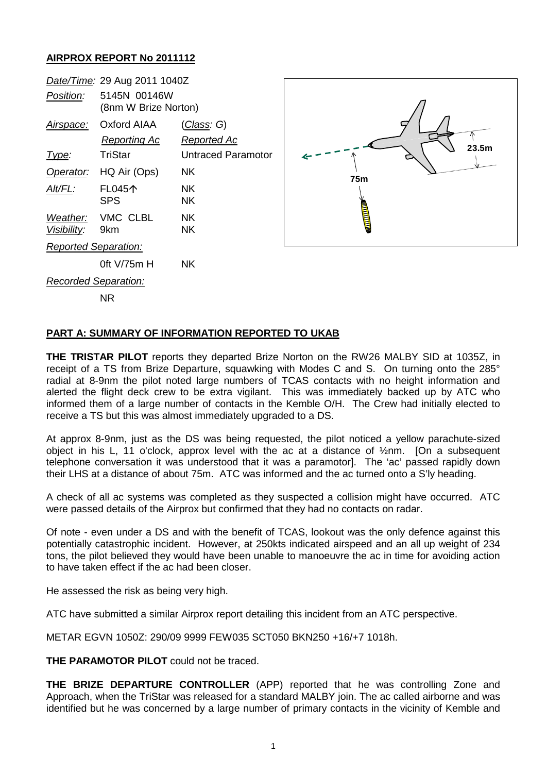## **AIRPROX REPORT No 2011112**

|                      | Date/Time: 29 Aug 2011 1040Z         |                           |
|----------------------|--------------------------------------|---------------------------|
| Position:            | 5145N 00146W<br>(8nm W Brize Norton) |                           |
|                      | Airspace: Oxford AIAA                | <u>(Class</u> : G)        |
|                      | Reporting Ac                         | Reported Ac               |
| <u>Type:</u>         | TriStar                              | <b>Untraced Paramotor</b> |
|                      | Operator: HQ Air (Ops)               | NK.                       |
| Alt/FL:              | <b>FL045个</b>                        | NΚ                        |
|                      | <b>SPS</b>                           | NK.                       |
|                      | Weather: VMC CLBL                    | NK.                       |
| Visibility: 9km      |                                      | NK.                       |
| Reported Separation: |                                      |                           |
|                      | 0ft V/75m H                          | NΚ                        |
| Recorded Separation: |                                      |                           |
|                      | ΝR                                   |                           |



## **PART A: SUMMARY OF INFORMATION REPORTED TO UKAB**

**THE TRISTAR PILOT** reports they departed Brize Norton on the RW26 MALBY SID at 1035Z, in receipt of a TS from Brize Departure, squawking with Modes C and S. On turning onto the 285° radial at 8-9nm the pilot noted large numbers of TCAS contacts with no height information and alerted the flight deck crew to be extra vigilant. This was immediately backed up by ATC who informed them of a large number of contacts in the Kemble O/H. The Crew had initially elected to receive a TS but this was almost immediately upgraded to a DS.

At approx 8-9nm, just as the DS was being requested, the pilot noticed a yellow parachute-sized object in his L, 11 o'clock, approx level with the ac at a distance of  $\frac{1}{2}$ nm. [On a subsequent telephone conversation it was understood that it was a paramotor]. The 'ac' passed rapidly down their LHS at a distance of about 75m. ATC was informed and the ac turned onto a S'ly heading.

A check of all ac systems was completed as they suspected a collision might have occurred. ATC were passed details of the Airprox but confirmed that they had no contacts on radar.

Of note - even under a DS and with the benefit of TCAS, lookout was the only defence against this potentially catastrophic incident. However, at 250kts indicated airspeed and an all up weight of 234 tons, the pilot believed they would have been unable to manoeuvre the ac in time for avoiding action to have taken effect if the ac had been closer.

He assessed the risk as being very high.

ATC have submitted a similar Airprox report detailing this incident from an ATC perspective.

METAR EGVN 1050Z: 290/09 9999 FEW035 SCT050 BKN250 +16/+7 1018h.

**THE PARAMOTOR PILOT** could not be traced.

**THE BRIZE DEPARTURE CONTROLLER** (APP) reported that he was controlling Zone and Approach, when the TriStar was released for a standard MALBY join. The ac called airborne and was identified but he was concerned by a large number of primary contacts in the vicinity of Kemble and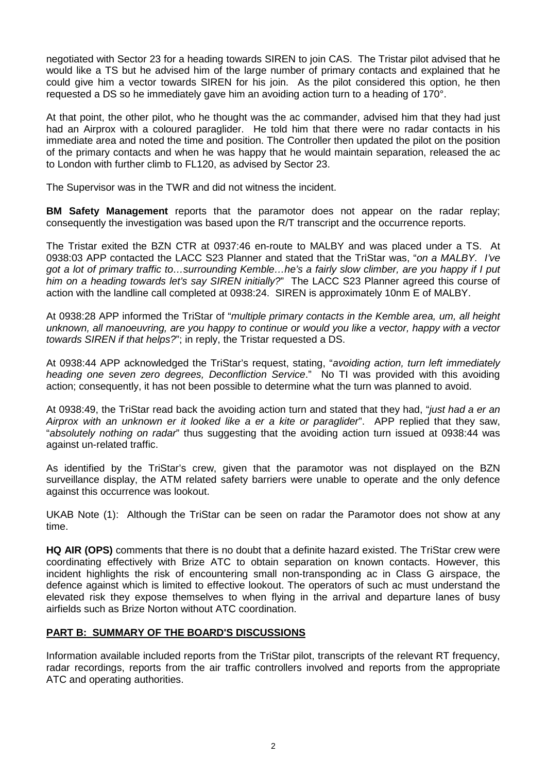negotiated with Sector 23 for a heading towards SIREN to join CAS. The Tristar pilot advised that he would like a TS but he advised him of the large number of primary contacts and explained that he could give him a vector towards SIREN for his join. As the pilot considered this option, he then requested a DS so he immediately gave him an avoiding action turn to a heading of 170°.

At that point, the other pilot, who he thought was the ac commander, advised him that they had just had an Airprox with a coloured paraglider. He told him that there were no radar contacts in his immediate area and noted the time and position. The Controller then updated the pilot on the position of the primary contacts and when he was happy that he would maintain separation, released the ac to London with further climb to FL120, as advised by Sector 23.

The Supervisor was in the TWR and did not witness the incident.

**BM Safety Management** reports that the paramotor does not appear on the radar replay; consequently the investigation was based upon the R/T transcript and the occurrence reports.

The Tristar exited the BZN CTR at 0937:46 en-route to MALBY and was placed under a TS. At 0938:03 APP contacted the LACC S23 Planner and stated that the TriStar was, "*on a MALBY. I've got a lot of primary traffic to…surrounding Kemble…he's a fairly slow climber, are you happy if I put him on a heading towards let's say SIREN initially?*" The LACC S23 Planner agreed this course of action with the landline call completed at 0938:24. SIREN is approximately 10nm E of MALBY.

At 0938:28 APP informed the TriStar of "*multiple primary contacts in the Kemble area, um, all height unknown, all manoeuvring, are you happy to continue or would you like a vector, happy with a vector towards SIREN if that helps?*"; in reply, the Tristar requested a DS.

At 0938:44 APP acknowledged the TriStar's request, stating, "*avoiding action, turn left immediately heading one seven zero degrees, Deconfliction Service*." No TI was provided with this avoiding action; consequently, it has not been possible to determine what the turn was planned to avoid.

At 0938:49, the TriStar read back the avoiding action turn and stated that they had, "*just had a er an Airprox with an unknown er it looked like a er a kite or paraglider*". APP replied that they saw, "*absolutely nothing on radar*" thus suggesting that the avoiding action turn issued at 0938:44 was against un-related traffic.

As identified by the TriStar's crew, given that the paramotor was not displayed on the BZN surveillance display, the ATM related safety barriers were unable to operate and the only defence against this occurrence was lookout.

UKAB Note (1): Although the TriStar can be seen on radar the Paramotor does not show at any time.

**HQ AIR (OPS)** comments that there is no doubt that a definite hazard existed. The TriStar crew were coordinating effectively with Brize ATC to obtain separation on known contacts. However, this incident highlights the risk of encountering small non-transponding ac in Class G airspace, the defence against which is limited to effective lookout. The operators of such ac must understand the elevated risk they expose themselves to when flying in the arrival and departure lanes of busy airfields such as Brize Norton without ATC coordination.

## **PART B: SUMMARY OF THE BOARD'S DISCUSSIONS**

Information available included reports from the TriStar pilot, transcripts of the relevant RT frequency, radar recordings, reports from the air traffic controllers involved and reports from the appropriate ATC and operating authorities.